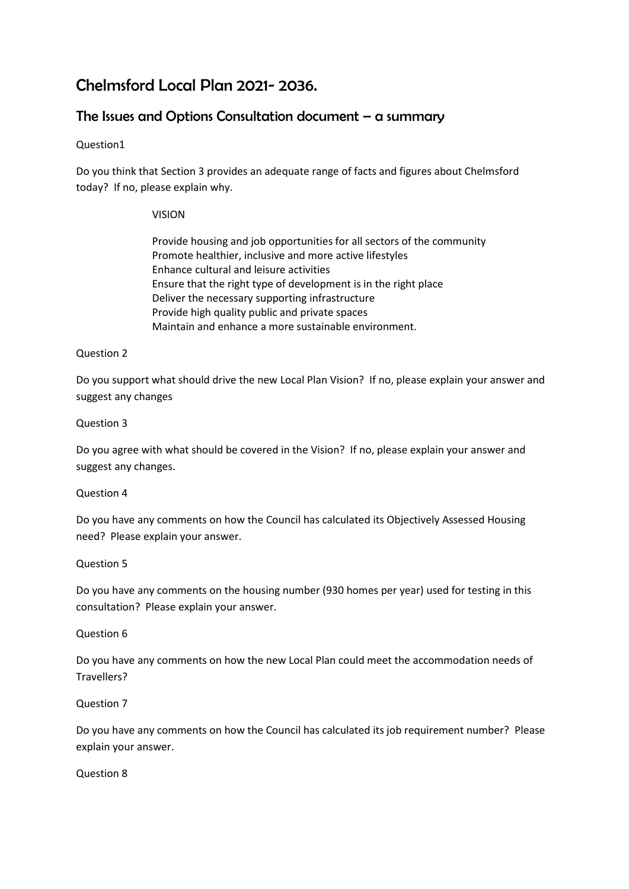# Chelmsford Local Plan 2021- 2036.

# The Issues and Options Consultation document  $-$  a summary

# Question1

Do you think that Section 3 provides an adequate range of facts and figures about Chelmsford today? If no, please explain why.

# VISION

Provide housing and job opportunities for all sectors of the community Promote healthier, inclusive and more active lifestyles Enhance cultural and leisure activities Ensure that the right type of development is in the right place Deliver the necessary supporting infrastructure Provide high quality public and private spaces Maintain and enhance a more sustainable environment.

# Question 2

Do you support what should drive the new Local Plan Vision? If no, please explain your answer and suggest any changes

# Question 3

Do you agree with what should be covered in the Vision? If no, please explain your answer and suggest any changes.

# Question 4

Do you have any comments on how the Council has calculated its Objectively Assessed Housing need? Please explain your answer.

# Question 5

Do you have any comments on the housing number (930 homes per year) used for testing in this consultation? Please explain your answer.

# Question 6

Do you have any comments on how the new Local Plan could meet the accommodation needs of Travellers?

# Question 7

Do you have any comments on how the Council has calculated its job requirement number? Please explain your answer.

# Question 8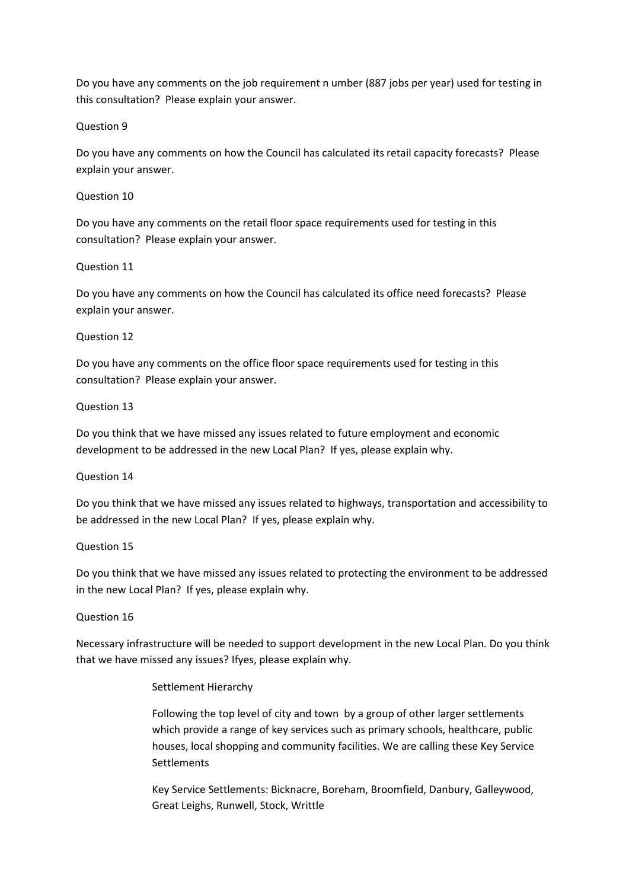Do you have any comments on the job requirement n umber (887 jobs per year) used for testing in this consultation? Please explain your answer.

### Question 9

Do you have any comments on how the Council has calculated its retail capacity forecasts? Please explain your answer.

#### Question 10

Do you have any comments on the retail floor space requirements used for testing in this consultation? Please explain your answer.

#### Question 11

Do you have any comments on how the Council has calculated its office need forecasts? Please explain your answer.

#### Question 12

Do you have any comments on the office floor space requirements used for testing in this consultation? Please explain your answer.

#### Question 13

Do you think that we have missed any issues related to future employment and economic development to be addressed in the new Local Plan? If yes, please explain why.

#### Question 14

Do you think that we have missed any issues related to highways, transportation and accessibility to be addressed in the new Local Plan? If yes, please explain why.

#### Question 15

Do you think that we have missed any issues related to protecting the environment to be addressed in the new Local Plan? If yes, please explain why.

#### Question 16

Necessary infrastructure will be needed to support development in the new Local Plan. Do you think that we have missed any issues? Ifyes, please explain why.

#### Settlement Hierarchy

Following the top level of city and town by a group of other larger settlements which provide a range of key services such as primary schools, healthcare, public houses, local shopping and community facilities. We are calling these Key Service **Settlements** 

Key Service Settlements: Bicknacre, Boreham, Broomfield, Danbury, Galleywood, Great Leighs, Runwell, Stock, Writtle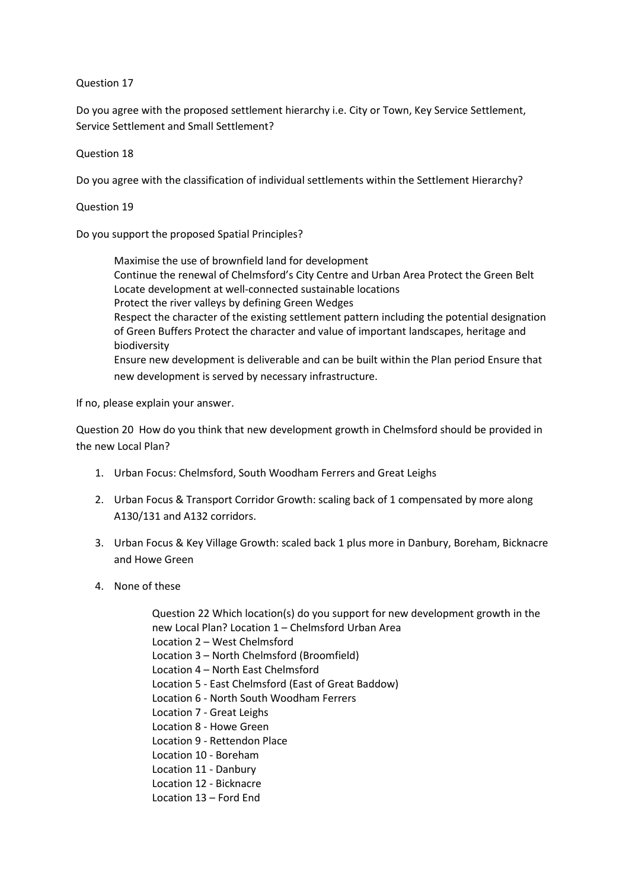#### Question 17

Do you agree with the proposed settlement hierarchy i.e. City or Town, Key Service Settlement, Service Settlement and Small Settlement?

Question 18

Do you agree with the classification of individual settlements within the Settlement Hierarchy?

Question 19

Do you support the proposed Spatial Principles?

Maximise the use of brownfield land for development Continue the renewal of Chelmsford's City Centre and Urban Area Protect the Green Belt Locate development at well-connected sustainable locations Protect the river valleys by defining Green Wedges Respect the character of the existing settlement pattern including the potential designation of Green Buffers Protect the character and value of important landscapes, heritage and biodiversity Ensure new development is deliverable and can be built within the Plan period Ensure that new development is served by necessary infrastructure.

If no, please explain your answer.

Question 20 How do you think that new development growth in Chelmsford should be provided in the new Local Plan?

- 1. Urban Focus: Chelmsford, South Woodham Ferrers and Great Leighs
- 2. Urban Focus & Transport Corridor Growth: scaling back of 1 compensated by more along A130/131 and A132 corridors.
- 3. Urban Focus & Key Village Growth: scaled back 1 plus more in Danbury, Boreham, Bicknacre and Howe Green
- 4. None of these

Question 22 Which location(s) do you support for new development growth in the new Local Plan? Location 1 – Chelmsford Urban Area Location 2 – West Chelmsford Location 3 – North Chelmsford (Broomfield) Location 4 – North East Chelmsford Location 5 - East Chelmsford (East of Great Baddow) Location 6 - North South Woodham Ferrers Location 7 - Great Leighs Location 8 - Howe Green Location 9 - Rettendon Place Location 10 - Boreham Location 11 - Danbury Location 12 - Bicknacre Location 13 – Ford End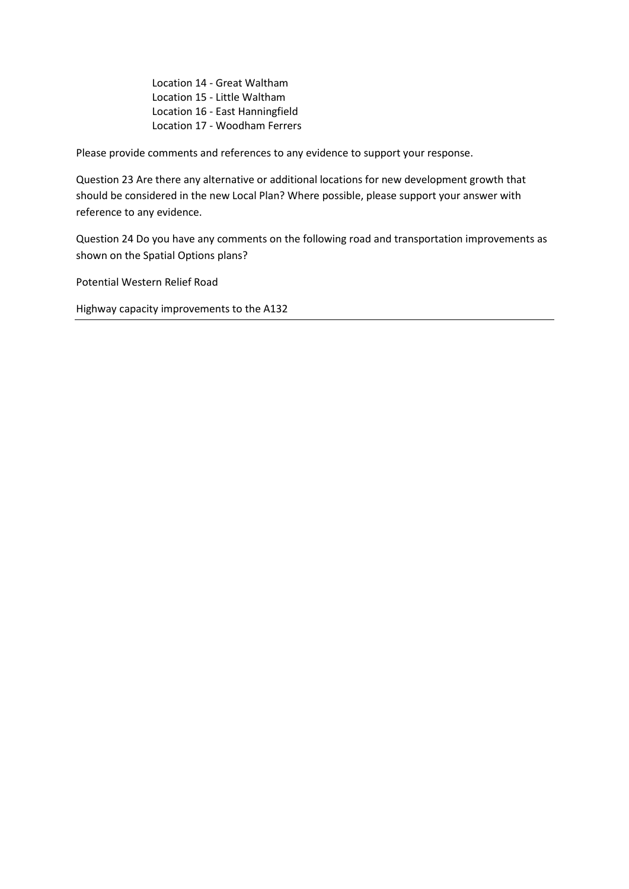Location 14 - Great Waltham Location 15 - Little Waltham Location 16 - East Hanningfield Location 17 - Woodham Ferrers

Please provide comments and references to any evidence to support your response.

Question 23 Are there any alternative or additional locations for new development growth that should be considered in the new Local Plan? Where possible, please support your answer with reference to any evidence.

Question 24 Do you have any comments on the following road and transportation improvements as shown on the Spatial Options plans?

Potential Western Relief Road

Highway capacity improvements to the A132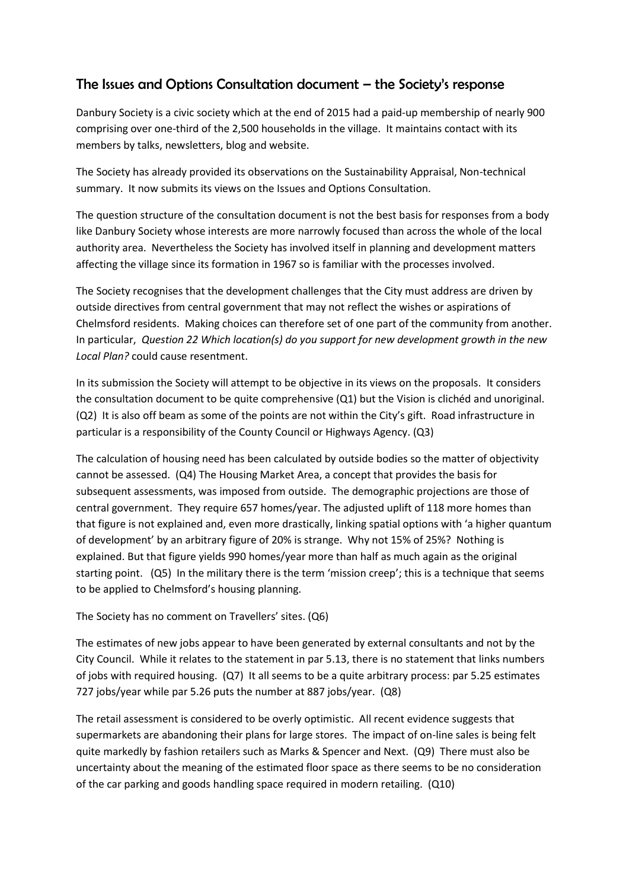# The Issues and Options Consultation document – the Society's response

Danbury Society is a civic society which at the end of 2015 had a paid-up membership of nearly 900 comprising over one-third of the 2,500 households in the village. It maintains contact with its members by talks, newsletters, blog and website.

The Society has already provided its observations on the Sustainability Appraisal, Non-technical summary. It now submits its views on the Issues and Options Consultation.

The question structure of the consultation document is not the best basis for responses from a body like Danbury Society whose interests are more narrowly focused than across the whole of the local authority area. Nevertheless the Society has involved itself in planning and development matters affecting the village since its formation in 1967 so is familiar with the processes involved.

The Society recognises that the development challenges that the City must address are driven by outside directives from central government that may not reflect the wishes or aspirations of Chelmsford residents. Making choices can therefore set of one part of the community from another. In particular, *Question 22 Which location(s) do you support for new development growth in the new Local Plan?* could cause resentment.

In its submission the Society will attempt to be objective in its views on the proposals. It considers the consultation document to be quite comprehensive (Q1) but the Vision is clichéd and unoriginal. (Q2) It is also off beam as some of the points are not within the City's gift. Road infrastructure in particular is a responsibility of the County Council or Highways Agency. (Q3)

The calculation of housing need has been calculated by outside bodies so the matter of objectivity cannot be assessed. (Q4) The Housing Market Area, a concept that provides the basis for subsequent assessments, was imposed from outside. The demographic projections are those of central government. They require 657 homes/year. The adjusted uplift of 118 more homes than that figure is not explained and, even more drastically, linking spatial options with 'a higher quantum of development' by an arbitrary figure of 20% is strange. Why not 15% of 25%? Nothing is explained. But that figure yields 990 homes/year more than half as much again as the original starting point. (Q5) In the military there is the term 'mission creep'; this is a technique that seems to be applied to Chelmsford's housing planning.

The Society has no comment on Travellers' sites. (Q6)

The estimates of new jobs appear to have been generated by external consultants and not by the City Council. While it relates to the statement in par 5.13, there is no statement that links numbers of jobs with required housing. (Q7) It all seems to be a quite arbitrary process: par 5.25 estimates 727 jobs/year while par 5.26 puts the number at 887 jobs/year. (Q8)

The retail assessment is considered to be overly optimistic. All recent evidence suggests that supermarkets are abandoning their plans for large stores. The impact of on-line sales is being felt quite markedly by fashion retailers such as Marks & Spencer and Next. (Q9) There must also be uncertainty about the meaning of the estimated floor space as there seems to be no consideration of the car parking and goods handling space required in modern retailing. (Q10)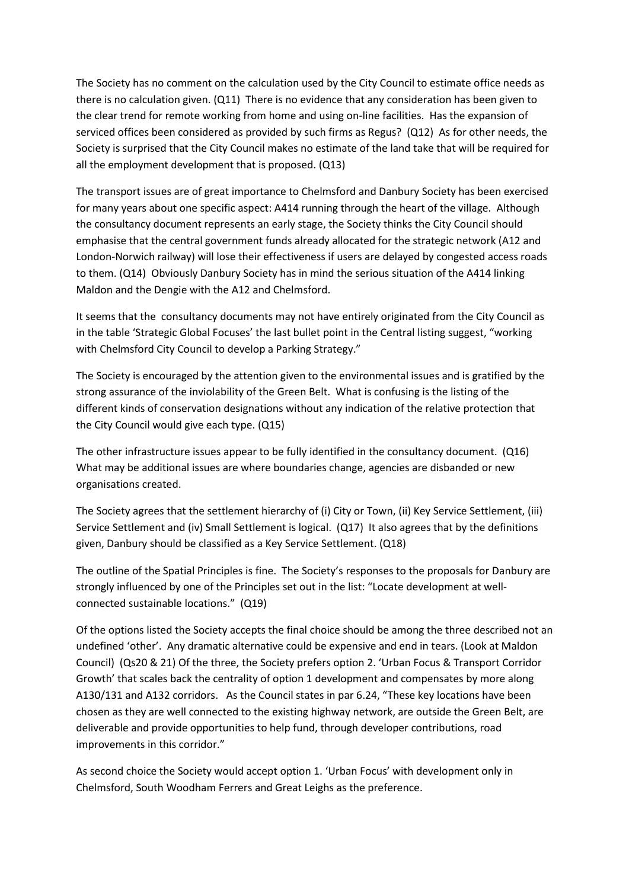The Society has no comment on the calculation used by the City Council to estimate office needs as there is no calculation given. (Q11) There is no evidence that any consideration has been given to the clear trend for remote working from home and using on-line facilities. Has the expansion of serviced offices been considered as provided by such firms as Regus? (Q12) As for other needs, the Society is surprised that the City Council makes no estimate of the land take that will be required for all the employment development that is proposed. (Q13)

The transport issues are of great importance to Chelmsford and Danbury Society has been exercised for many years about one specific aspect: A414 running through the heart of the village. Although the consultancy document represents an early stage, the Society thinks the City Council should emphasise that the central government funds already allocated for the strategic network (A12 and London-Norwich railway) will lose their effectiveness if users are delayed by congested access roads to them. (Q14) Obviously Danbury Society has in mind the serious situation of the A414 linking Maldon and the Dengie with the A12 and Chelmsford.

It seems that the consultancy documents may not have entirely originated from the City Council as in the table 'Strategic Global Focuses' the last bullet point in the Central listing suggest, "working with Chelmsford City Council to develop a Parking Strategy."

The Society is encouraged by the attention given to the environmental issues and is gratified by the strong assurance of the inviolability of the Green Belt. What is confusing is the listing of the different kinds of conservation designations without any indication of the relative protection that the City Council would give each type. (Q15)

The other infrastructure issues appear to be fully identified in the consultancy document. (Q16) What may be additional issues are where boundaries change, agencies are disbanded or new organisations created.

The Society agrees that the settlement hierarchy of (i) City or Town, (ii) Key Service Settlement, (iii) Service Settlement and (iv) Small Settlement is logical. (Q17) It also agrees that by the definitions given, Danbury should be classified as a Key Service Settlement. (Q18)

The outline of the Spatial Principles is fine. The Society's responses to the proposals for Danbury are strongly influenced by one of the Principles set out in the list: "Locate development at wellconnected sustainable locations." (Q19)

Of the options listed the Society accepts the final choice should be among the three described not an undefined 'other'. Any dramatic alternative could be expensive and end in tears. (Look at Maldon Council) (Qs20 & 21) Of the three, the Society prefers option 2. 'Urban Focus & Transport Corridor Growth' that scales back the centrality of option 1 development and compensates by more along A130/131 and A132 corridors. As the Council states in par 6.24, "These key locations have been chosen as they are well connected to the existing highway network, are outside the Green Belt, are deliverable and provide opportunities to help fund, through developer contributions, road improvements in this corridor."

As second choice the Society would accept option 1. 'Urban Focus' with development only in Chelmsford, South Woodham Ferrers and Great Leighs as the preference.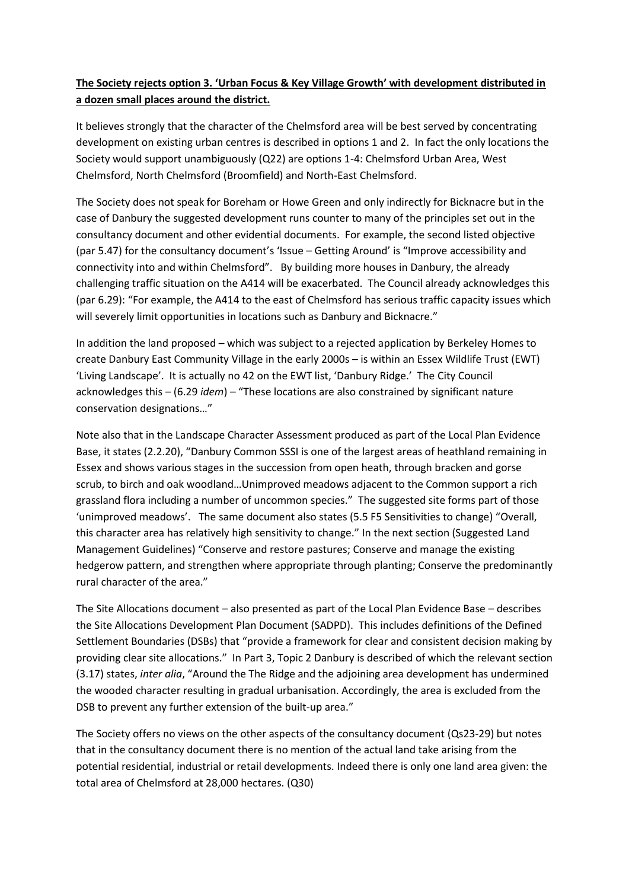# **The Society rejects option 3. 'Urban Focus & Key Village Growth' with development distributed in a dozen small places around the district.**

It believes strongly that the character of the Chelmsford area will be best served by concentrating development on existing urban centres is described in options 1 and 2. In fact the only locations the Society would support unambiguously (Q22) are options 1-4: Chelmsford Urban Area, West Chelmsford, North Chelmsford (Broomfield) and North-East Chelmsford.

The Society does not speak for Boreham or Howe Green and only indirectly for Bicknacre but in the case of Danbury the suggested development runs counter to many of the principles set out in the consultancy document and other evidential documents. For example, the second listed objective (par 5.47) for the consultancy document's 'Issue – Getting Around' is "Improve accessibility and connectivity into and within Chelmsford". By building more houses in Danbury, the already challenging traffic situation on the A414 will be exacerbated. The Council already acknowledges this (par 6.29): "For example, the A414 to the east of Chelmsford has serious traffic capacity issues which will severely limit opportunities in locations such as Danbury and Bicknacre."

In addition the land proposed – which was subject to a rejected application by Berkeley Homes to create Danbury East Community Village in the early 2000s – is within an Essex Wildlife Trust (EWT) 'Living Landscape'. It is actually no 42 on the EWT list, 'Danbury Ridge.' The City Council acknowledges this – (6.29 *idem*) – "These locations are also constrained by significant nature conservation designations…"

Note also that in the Landscape Character Assessment produced as part of the Local Plan Evidence Base, it states (2.2.20), "Danbury Common SSSI is one of the largest areas of heathland remaining in Essex and shows various stages in the succession from open heath, through bracken and gorse scrub, to birch and oak woodland…Unimproved meadows adjacent to the Common support a rich grassland flora including a number of uncommon species." The suggested site forms part of those 'unimproved meadows'. The same document also states (5.5 F5 Sensitivities to change) "Overall, this character area has relatively high sensitivity to change." In the next section (Suggested Land Management Guidelines) "Conserve and restore pastures; Conserve and manage the existing hedgerow pattern, and strengthen where appropriate through planting; Conserve the predominantly rural character of the area."

The Site Allocations document – also presented as part of the Local Plan Evidence Base – describes the Site Allocations Development Plan Document (SADPD). This includes definitions of the Defined Settlement Boundaries (DSBs) that "provide a framework for clear and consistent decision making by providing clear site allocations." In Part 3, Topic 2 Danbury is described of which the relevant section (3.17) states, *inter alia*, "Around the The Ridge and the adjoining area development has undermined the wooded character resulting in gradual urbanisation. Accordingly, the area is excluded from the DSB to prevent any further extension of the built-up area."

The Society offers no views on the other aspects of the consultancy document (Qs23-29) but notes that in the consultancy document there is no mention of the actual land take arising from the potential residential, industrial or retail developments. Indeed there is only one land area given: the total area of Chelmsford at 28,000 hectares. (Q30)